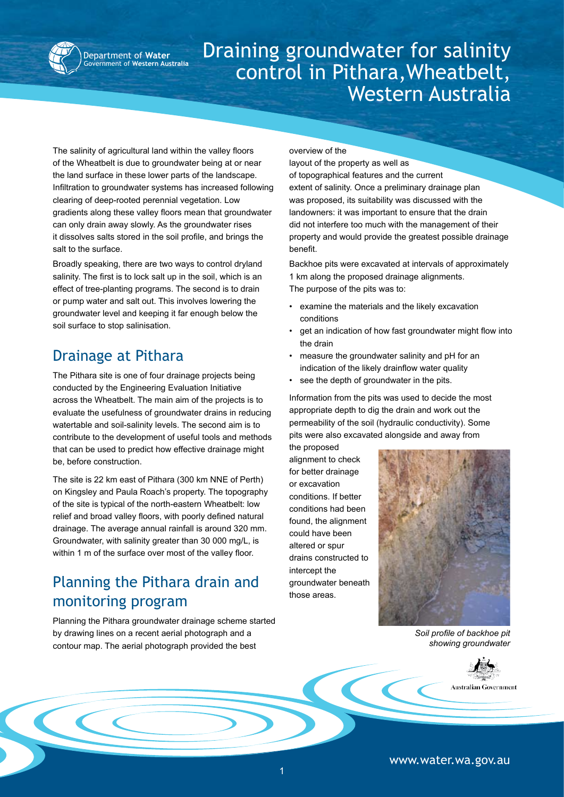

Department of **Water Exament of Western Australia** 

# Draining groundwater for salinity control in Pithara,Wheatbelt, Western Australia

The salinity of agricultural land within the valley floors of the Wheatbelt is due to groundwater being at or near the land surface in these lower parts of the landscape. Infiltration to groundwater systems has increased following clearing of deep-rooted perennial vegetation. Low gradients along these valley floors mean that groundwater can only drain away slowly. As the groundwater rises it dissolves salts stored in the soil profile, and brings the salt to the surface.

Broadly speaking, there are two ways to control dryland salinity. The first is to lock salt up in the soil, which is an effect of tree-planting programs. The second is to drain or pump water and salt out. This involves lowering the groundwater level and keeping it far enough below the soil surface to stop salinisation.

# Drainage at Pithara

The Pithara site is one of four drainage projects being conducted by the Engineering Evaluation Initiative across the Wheatbelt. The main aim of the projects is to evaluate the usefulness of groundwater drains in reducing watertable and soil-salinity levels. The second aim is to contribute to the development of useful tools and methods that can be used to predict how effective drainage might be, before construction.

The site is 22 km east of Pithara (300 km NNE of Perth) on Kingsley and Paula Roach's property. The topography of the site is typical of the north-eastern Wheatbelt: low relief and broad valley floors, with poorly defined natural drainage. The average annual rainfall is around 320 mm. Groundwater, with salinity greater than 30 000 mg/L, is within 1 m of the surface over most of the valley floor.

# Planning the Pithara drain and monitoring program

Planning the Pithara groundwater drainage scheme started by drawing lines on a recent aerial photograph and a contour map. The aerial photograph provided the best

overview of the

layout of the property as well as of topographical features and the current extent of salinity. Once a preliminary drainage plan was proposed, its suitability was discussed with the landowners: it was important to ensure that the drain did not interfere too much with the management of their property and would provide the greatest possible drainage benefit.

Backhoe pits were excavated at intervals of approximately 1 km along the proposed drainage alignments. The purpose of the pits was to:

- examine the materials and the likely excavation conditions •
- get an indication of how fast groundwater might flow into the drain •
- measure the groundwater salinity and pH for an indication of the likely drainflow water quality •
- see the depth of groundwater in the pits. •

Information from the pits was used to decide the most appropriate depth to dig the drain and work out the permeability of the soil (hydraulic conductivity). Some pits were also excavated alongside and away from

the proposed alignment to check for better drainage or excavation conditions. If better conditions had been found, the alignment could have been altered or spur drains constructed to intercept the groundwater beneath those areas.



*Soil profile of backhoe pit showing groundwater*



www.water.wa.gov.au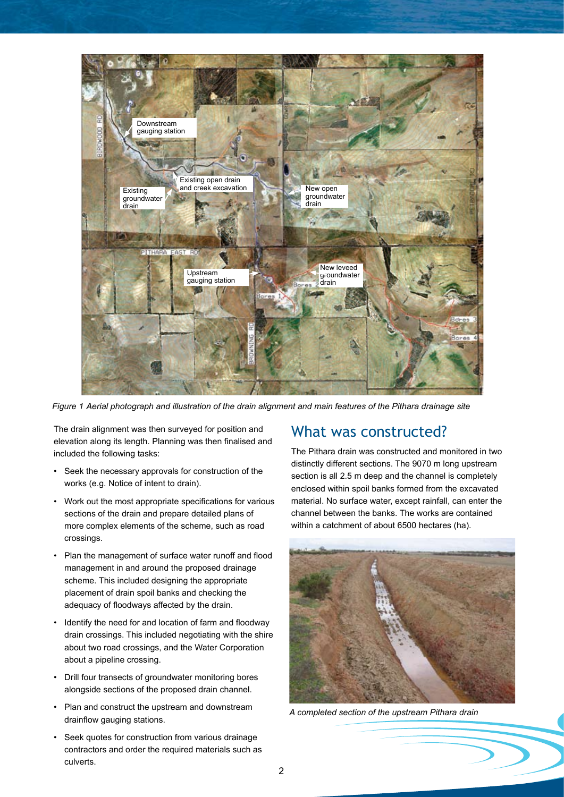

*Figure 1 Aerial photograph and illustration of the drain alignment and main features of the Pithara drainage site*

The drain alignment was then surveyed for position and elevation along its length. Planning was then finalised and included the following tasks:

- Seek the necessary approvals for construction of the works (e.g. Notice of intent to drain).
- Work out the most appropriate specifications for various sections of the drain and prepare detailed plans of more complex elements of the scheme, such as road crossings.
- Plan the management of surface water runoff and flood management in and around the proposed drainage scheme. This included designing the appropriate placement of drain spoil banks and checking the adequacy of floodways affected by the drain. •
- Identify the need for and location of farm and floodway drain crossings. This included negotiating with the shire about two road crossings, and the Water Corporation about a pipeline crossing. •
- Drill four transects of groundwater monitoring bores alongside sections of the proposed drain channel. •
- Plan and construct the upstream and downstream drainflow gauging stations.
- Seek quotes for construction from various drainage contractors and order the required materials such as culverts. •

### What was constructed?

The Pithara drain was constructed and monitored in two distinctly different sections. The 9070 m long upstream section is all 2.5 m deep and the channel is completely enclosed within spoil banks formed from the excavated material. No surface water, except rainfall, can enter the channel between the banks. The works are contained within a catchment of about 6500 hectares (ha).



*A completed section of the upstream Pithara drain*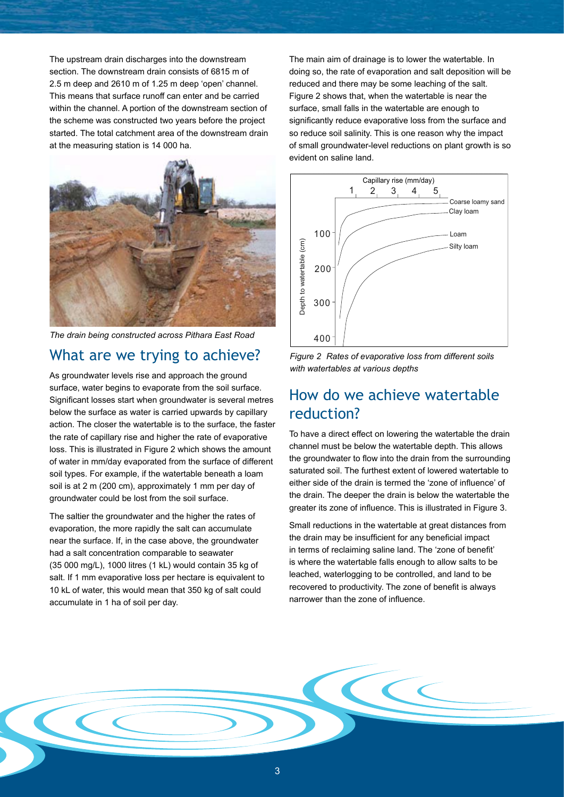The upstream drain discharges into the downstream section. The downstream drain consists of 6815 m of 2.5 m deep and 2610 m of 1.25 m deep 'open' channel. This means that surface runoff can enter and be carried within the channel. A portion of the downstream section of the scheme was constructed two years before the project started. The total catchment area of the downstream drain at the measuring station is 14 000 ha.



*The drain being constructed across Pithara East Road*

#### What are we trying to achieve?

As groundwater levels rise and approach the ground surface, water begins to evaporate from the soil surface. Significant losses start when groundwater is several metres below the surface as water is carried upwards by capillary action. The closer the watertable is to the surface, the faster the rate of capillary rise and higher the rate of evaporative loss. This is illustrated in Figure 2 which shows the amount of water in mm/day evaporated from the surface of different soil types. For example, if the watertable beneath a loam soil is at 2 m (200 cm), approximately 1 mm per day of groundwater could be lost from the soil surface.

The saltier the groundwater and the higher the rates of evaporation, the more rapidly the salt can accumulate near the surface. If, in the case above, the groundwater had a salt concentration comparable to seawater (35 000 mg/L), 1000 litres (1 kL) would contain 35 kg of salt. If 1 mm evaporative loss per hectare is equivalent to 10 kL of water, this would mean that 350 kg of salt could accumulate in 1 ha of soil per day.

The main aim of drainage is to lower the watertable. In doing so, the rate of evaporation and salt deposition will be reduced and there may be some leaching of the salt. Figure 2 shows that, when the watertable is near the surface, small falls in the watertable are enough to significantly reduce evaporative loss from the surface and so reduce soil salinity. This is one reason why the impact of small groundwater-level reductions on plant growth is so evident on saline land.



*Figure 2 Rates of evaporative loss from different soils with watertables at various depths*

### How do we achieve watertable reduction?

To have a direct effect on lowering the watertable the drain channel must be below the watertable depth. This allows the groundwater to flow into the drain from the surrounding saturated soil. The furthest extent of lowered watertable to either side of the drain is termed the 'zone of influence' of the drain. The deeper the drain is below the watertable the greater its zone of influence. This is illustrated in Figure 3.

Small reductions in the watertable at great distances from the drain may be insufficient for any beneficial impact in terms of reclaiming saline land. The 'zone of benefit' is where the watertable falls enough to allow salts to be leached, waterlogging to be controlled, and land to be recovered to productivity. The zone of benefit is always narrower than the zone of influence.

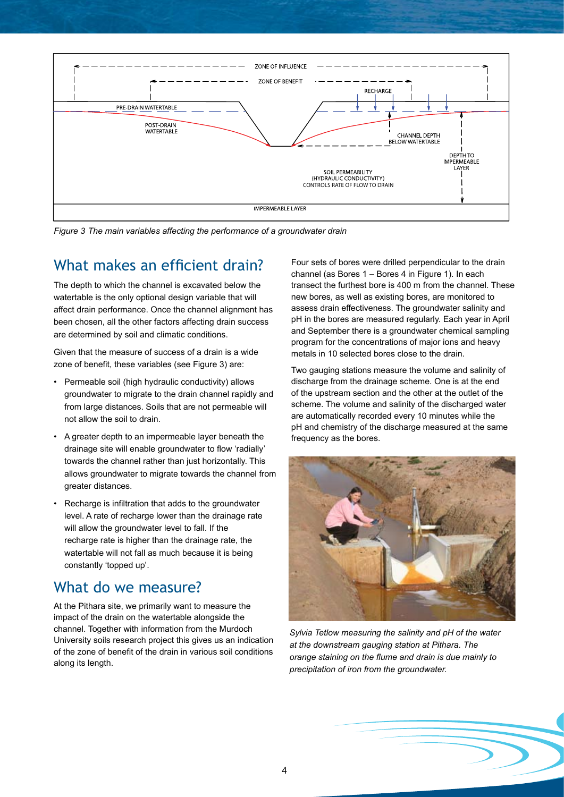

*Figure 3 The main variables affecting the performance of a groundwater drain*

# What makes an efficient drain?

The depth to which the channel is excavated below the watertable is the only optional design variable that will affect drain performance. Once the channel alignment has been chosen, all the other factors affecting drain success are determined by soil and climatic conditions.

Given that the measure of success of a drain is a wide zone of benefit, these variables (see Figure 3) are:

- Permeable soil (high hydraulic conductivity) allows groundwater to migrate to the drain channel rapidly and from large distances. Soils that are not permeable will not allow the soil to drain.
- A greater depth to an impermeable layer beneath the drainage site will enable groundwater to flow 'radially' towards the channel rather than just horizontally. This allows groundwater to migrate towards the channel from greater distances.
- Recharge is infiltration that adds to the groundwater level. A rate of recharge lower than the drainage rate will allow the groundwater level to fall. If the recharge rate is higher than the drainage rate, the watertable will not fall as much because it is being constantly 'topped up'. •

#### What do we measure?

At the Pithara site, we primarily want to measure the impact of the drain on the watertable alongside the channel. Together with information from the Murdoch University soils research project this gives us an indication of the zone of benefit of the drain in various soil conditions along its length.

Four sets of bores were drilled perpendicular to the drain channel (as Bores 1 – Bores 4 in Figure 1). In each transect the furthest bore is 400 m from the channel. These new bores, as well as existing bores, are monitored to assess drain effectiveness. The groundwater salinity and pH in the bores are measured regularly. Each year in April and September there is a groundwater chemical sampling program for the concentrations of major ions and heavy metals in 10 selected bores close to the drain.

Two gauging stations measure the volume and salinity of discharge from the drainage scheme. One is at the end of the upstream section and the other at the outlet of the scheme. The volume and salinity of the discharged water are automatically recorded every 10 minutes while the pH and chemistry of the discharge measured at the same frequency as the bores.



*Sylvia Tetlow measuring the salinity and pH of the water at the downstream gauging station at Pithara. The orange staining on the flume and drain is due mainly to precipitation of iron from the groundwater.*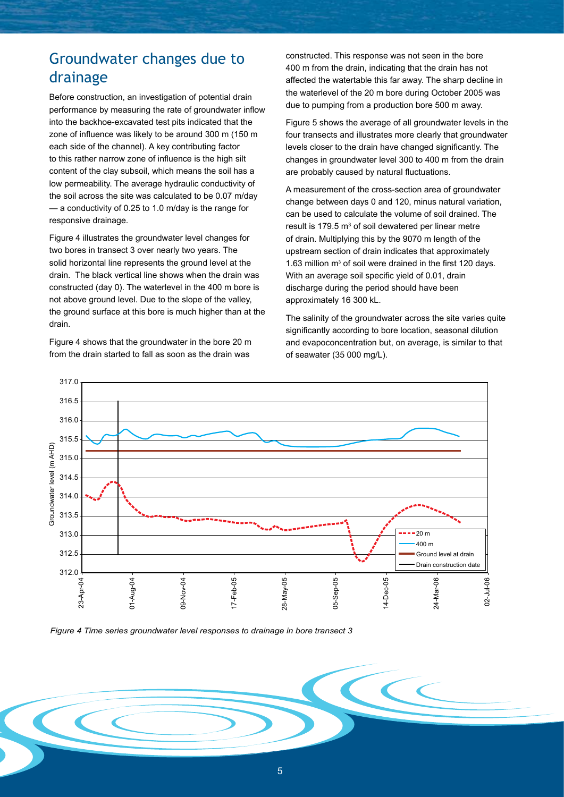# Groundwater changes due to drainage

Before construction, an investigation of potential drain performance by measuring the rate of groundwater inflow into the backhoe-excavated test pits indicated that the zone of influence was likely to be around 300 m (150 m each side of the channel). A key contributing factor to this rather narrow zone of influence is the high silt content of the clay subsoil, which means the soil has a low permeability. The average hydraulic conductivity of the soil across the site was calculated to be 0.07 m/day — a conductivity of 0.25 to 1.0 m/day is the range for responsive drainage.

Figure 4 illustrates the groundwater level changes for two bores in transect 3 over nearly two years. The solid horizontal line represents the ground level at the drain. The black vertical line shows when the drain was constructed (day 0). The waterlevel in the 400 m bore is not above ground level. Due to the slope of the valley, the ground surface at this bore is much higher than at the drain.

Figure 4 shows that the groundwater in the bore 20 m from the drain started to fall as soon as the drain was

constructed. This response was not seen in the bore 400 m from the drain, indicating that the drain has not affected the watertable this far away. The sharp decline in the waterlevel of the 20 m bore during October 2005 was due to pumping from a production bore 500 m away.

Figure 5 shows the average of all groundwater levels in the four transects and illustrates more clearly that groundwater levels closer to the drain have changed significantly. The changes in groundwater level 300 to 400 m from the drain are probably caused by natural fluctuations.

A measurement of the cross-section area of groundwater change between days 0 and 120, minus natural variation, can be used to calculate the volume of soil drained. The result is 179.5  $m<sup>3</sup>$  of soil dewatered per linear metre of drain. Multiplying this by the 9070 m length of the upstream section of drain indicates that approximately 1.63 million m<sup>3</sup> of soil were drained in the first 120 days. With an average soil specific yield of 0.01, drain discharge during the period should have been approximately 16 300 kL.

The salinity of the groundwater across the site varies quite significantly according to bore location, seasonal dilution and evapoconcentration but, on average, is similar to that of seawater (35 000 mg/L).

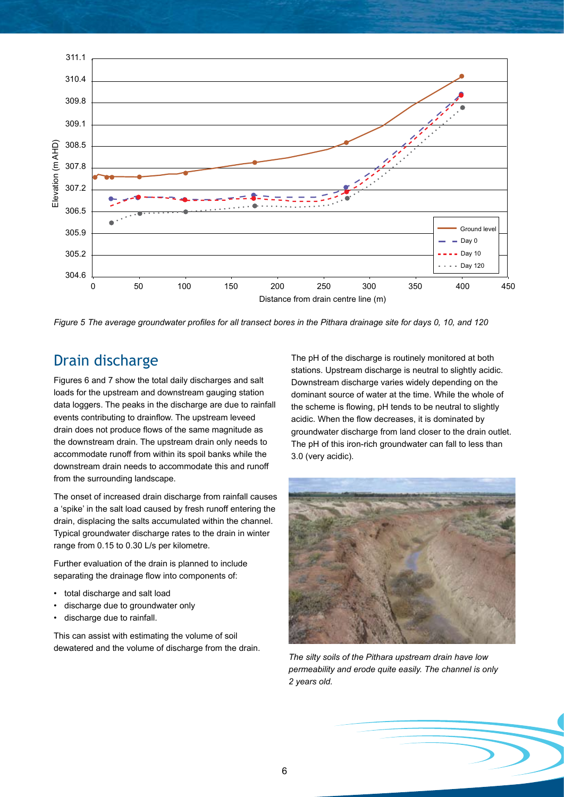

*Figure 5 The average groundwater profiles for all transect bores in the Pithara drainage site for days 0, 10, and 120*

# Drain discharge

Figures 6 and 7 show the total daily discharges and salt loads for the upstream and downstream gauging station data loggers. The peaks in the discharge are due to rainfall events contributing to drainflow. The upstream leveed drain does not produce flows of the same magnitude as the downstream drain. The upstream drain only needs to accommodate runoff from within its spoil banks while the downstream drain needs to accommodate this and runoff from the surrounding landscape.

The onset of increased drain discharge from rainfall causes a 'spike' in the salt load caused by fresh runoff entering the drain, displacing the salts accumulated within the channel. Typical groundwater discharge rates to the drain in winter range from 0.15 to 0.30 L/s per kilometre.

Further evaluation of the drain is planned to include separating the drainage flow into components of:

- total discharge and salt load
- discharge due to groundwater only •
- discharge due to rainfall. •

This can assist with estimating the volume of soil dewatered and the volume of discharge from the drain. The pH of the discharge is routinely monitored at both stations. Upstream discharge is neutral to slightly acidic. Downstream discharge varies widely depending on the dominant source of water at the time. While the whole of the scheme is flowing, pH tends to be neutral to slightly acidic. When the flow decreases, it is dominated by groundwater discharge from land closer to the drain outlet. The pH of this iron-rich groundwater can fall to less than 3.0 (very acidic).



*The silty soils of the Pithara upstream drain have low permeability and erode quite easily. The channel is only 2 years old.*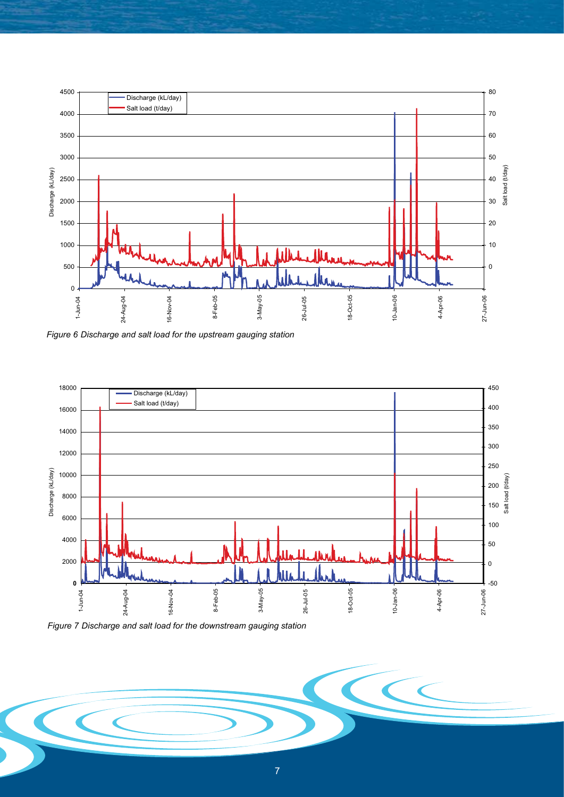

*Figure 6 Discharge and salt load for the upstream gauging station*



*Figure 7 Discharge and salt load for the downstream gauging station*